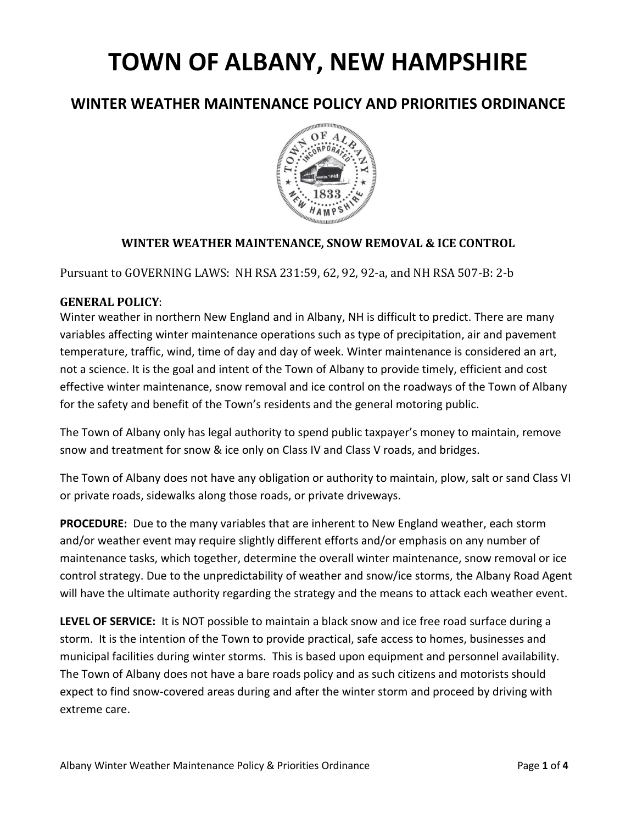## **TOWN OF ALBANY, NEW HAMPSHIRE**

## **WINTER WEATHER MAINTENANCE POLICY AND PRIORITIES ORDINANCE**



## **WINTER WEATHER MAINTENANCE, SNOW REMOVAL & ICE CONTROL**

Pursuant to GOVERNING LAWS: NH RSA 231:59, 62, 92, 92-a, and NH RSA 507-B: 2-b

## **GENERAL POLICY**:

Winter weather in northern New England and in Albany, NH is difficult to predict. There are many variables affecting winter maintenance operations such as type of precipitation, air and pavement temperature, traffic, wind, time of day and day of week. Winter maintenance is considered an art, not a science. It is the goal and intent of the Town of Albany to provide timely, efficient and cost effective winter maintenance, snow removal and ice control on the roadways of the Town of Albany for the safety and benefit of the Town's residents and the general motoring public.

The Town of Albany only has legal authority to spend public taxpayer's money to maintain, remove snow and treatment for snow & ice only on Class IV and Class V roads, and bridges.

The Town of Albany does not have any obligation or authority to maintain, plow, salt or sand Class VI or private roads, sidewalks along those roads, or private driveways.

**PROCEDURE:** Due to the many variables that are inherent to New England weather, each storm and/or weather event may require slightly different efforts and/or emphasis on any number of maintenance tasks, which together, determine the overall winter maintenance, snow removal or ice control strategy. Due to the unpredictability of weather and snow/ice storms, the Albany Road Agent will have the ultimate authority regarding the strategy and the means to attack each weather event.

**LEVEL OF SERVICE:** It is NOT possible to maintain a black snow and ice free road surface during a storm. It is the intention of the Town to provide practical, safe access to homes, businesses and municipal facilities during winter storms. This is based upon equipment and personnel availability. The Town of Albany does not have a bare roads policy and as such citizens and motorists should expect to find snow-covered areas during and after the winter storm and proceed by driving with extreme care.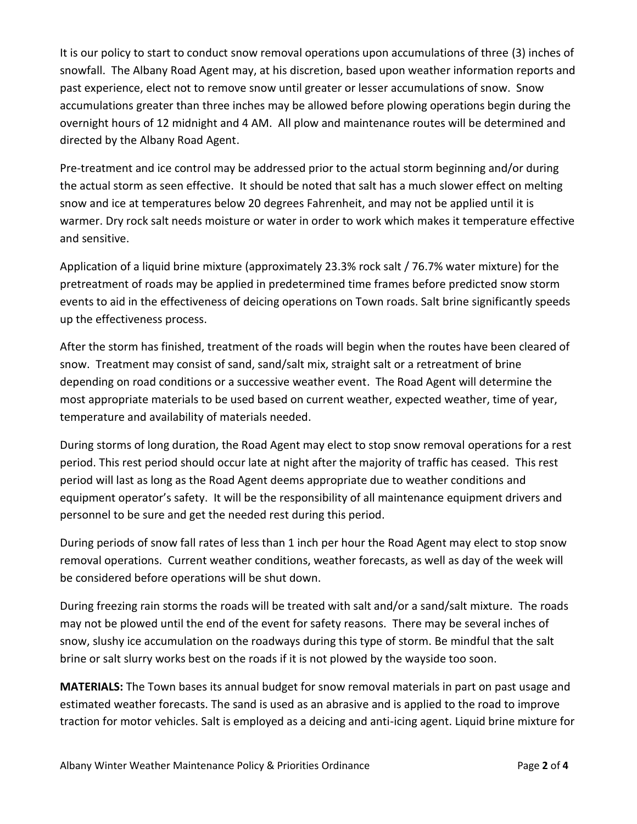It is our policy to start to conduct snow removal operations upon accumulations of three (3) inches of snowfall. The Albany Road Agent may, at his discretion, based upon weather information reports and past experience, elect not to remove snow until greater or lesser accumulations of snow. Snow accumulations greater than three inches may be allowed before plowing operations begin during the overnight hours of 12 midnight and 4 AM. All plow and maintenance routes will be determined and directed by the Albany Road Agent.

Pre-treatment and ice control may be addressed prior to the actual storm beginning and/or during the actual storm as seen effective. It should be noted that salt has a much slower effect on melting snow and ice at temperatures below 20 degrees Fahrenheit, and may not be applied until it is warmer. Dry rock salt needs moisture or water in order to work which makes it temperature effective and sensitive.

Application of a liquid brine mixture (approximately 23.3% rock salt / 76.7% water mixture) for the pretreatment of roads may be applied in predetermined time frames before predicted snow storm events to aid in the effectiveness of deicing operations on Town roads. Salt brine significantly speeds up the effectiveness process.

After the storm has finished, treatment of the roads will begin when the routes have been cleared of snow. Treatment may consist of sand, sand/salt mix, straight salt or a retreatment of brine depending on road conditions or a successive weather event. The Road Agent will determine the most appropriate materials to be used based on current weather, expected weather, time of year, temperature and availability of materials needed.

During storms of long duration, the Road Agent may elect to stop snow removal operations for a rest period. This rest period should occur late at night after the majority of traffic has ceased. This rest period will last as long as the Road Agent deems appropriate due to weather conditions and equipment operator's safety. It will be the responsibility of all maintenance equipment drivers and personnel to be sure and get the needed rest during this period.

During periods of snow fall rates of less than 1 inch per hour the Road Agent may elect to stop snow removal operations. Current weather conditions, weather forecasts, as well as day of the week will be considered before operations will be shut down.

During freezing rain storms the roads will be treated with salt and/or a sand/salt mixture. The roads may not be plowed until the end of the event for safety reasons. There may be several inches of snow, slushy ice accumulation on the roadways during this type of storm. Be mindful that the salt brine or salt slurry works best on the roads if it is not plowed by the wayside too soon.

**MATERIALS:** The Town bases its annual budget for snow removal materials in part on past usage and estimated weather forecasts. The sand is used as an abrasive and is applied to the road to improve traction for motor vehicles. Salt is employed as a deicing and anti-icing agent. Liquid brine mixture for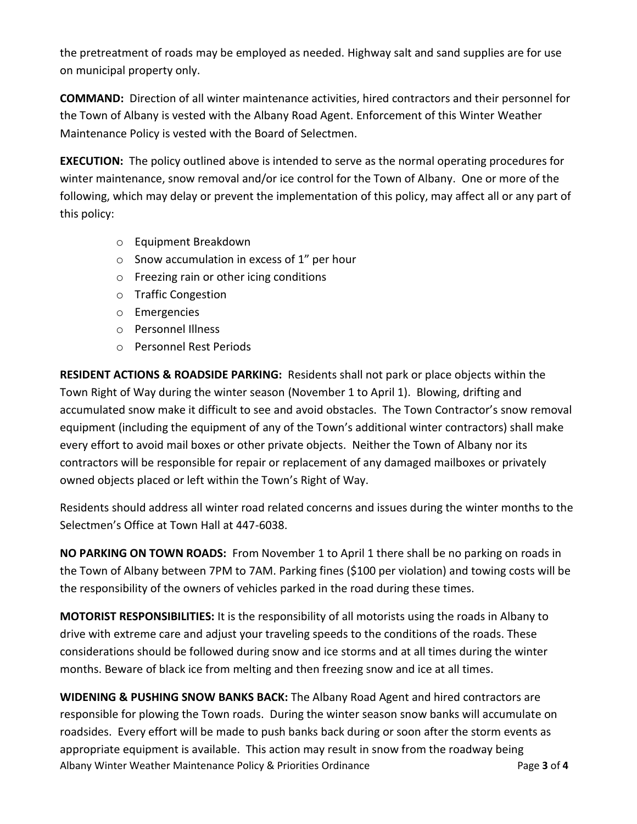the pretreatment of roads may be employed as needed. Highway salt and sand supplies are for use on municipal property only.

**COMMAND:** Direction of all winter maintenance activities, hired contractors and their personnel for the Town of Albany is vested with the Albany Road Agent. Enforcement of this Winter Weather Maintenance Policy is vested with the Board of Selectmen.

**EXECUTION:** The policy outlined above is intended to serve as the normal operating procedures for winter maintenance, snow removal and/or ice control for the Town of Albany. One or more of the following, which may delay or prevent the implementation of this policy, may affect all or any part of this policy:

- o Equipment Breakdown
- o Snow accumulation in excess of 1" per hour
- o Freezing rain or other icing conditions
- o Traffic Congestion
- o Emergencies
- o Personnel Illness
- o Personnel Rest Periods

**RESIDENT ACTIONS & ROADSIDE PARKING:** Residents shall not park or place objects within the Town Right of Way during the winter season (November 1 to April 1). Blowing, drifting and accumulated snow make it difficult to see and avoid obstacles. The Town Contractor's snow removal equipment (including the equipment of any of the Town's additional winter contractors) shall make every effort to avoid mail boxes or other private objects. Neither the Town of Albany nor its contractors will be responsible for repair or replacement of any damaged mailboxes or privately owned objects placed or left within the Town's Right of Way.

Residents should address all winter road related concerns and issues during the winter months to the Selectmen's Office at Town Hall at 447-6038.

**NO PARKING ON TOWN ROADS:** From November 1 to April 1 there shall be no parking on roads in the Town of Albany between 7PM to 7AM. Parking fines (\$100 per violation) and towing costs will be the responsibility of the owners of vehicles parked in the road during these times.

**MOTORIST RESPONSIBILITIES:** It is the responsibility of all motorists using the roads in Albany to drive with extreme care and adjust your traveling speeds to the conditions of the roads. These considerations should be followed during snow and ice storms and at all times during the winter months. Beware of black ice from melting and then freezing snow and ice at all times.

Albany Winter Weather Maintenance Policy & Priorities Ordinance Page **3** of **4 WIDENING & PUSHING SNOW BANKS BACK:** The Albany Road Agent and hired contractors are responsible for plowing the Town roads. During the winter season snow banks will accumulate on roadsides. Every effort will be made to push banks back during or soon after the storm events as appropriate equipment is available. This action may result in snow from the roadway being